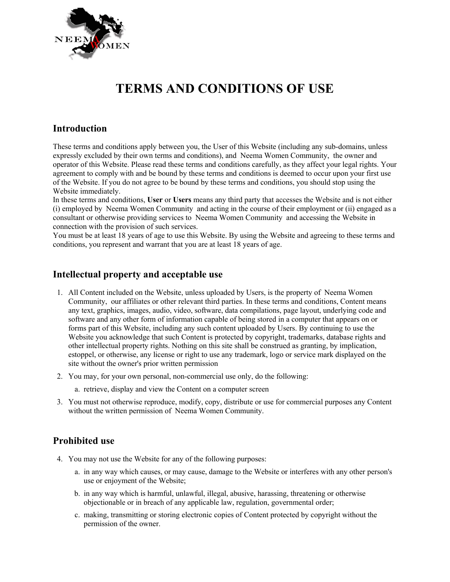

# **TERMS AND CONDITIONS OF USE**

## **Introduction**

These terms and conditions apply between you, the User of this Website (including any sub-domains, unless expressly excluded by their own terms and conditions), and Neema Women Community, the owner and operator of this Website. Please read these terms and conditions carefully, as they affect your legal rights. Your agreement to comply with and be bound by these terms and conditions is deemed to occur upon your first use of the Website. If you do not agree to be bound by these terms and conditions, you should stop using the Website immediately.

In these terms and conditions, **User** or **Users** means any third party that accesses the Website and is not either (i) employed by Neema Women Community and acting in the course of their employment or (ii) engaged as a consultant or otherwise providing services to Neema Women Community and accessing the Website in connection with the provision of such services.

You must be at least 18 years of age to use this Website. By using the Website and agreeing to these terms and conditions, you represent and warrant that you are at least 18 years of age.

#### **Intellectual property and acceptable use**

- 1. All Content included on the Website, unless uploaded by Users, is the property of Neema Women Community, our affiliates or other relevant third parties. In these terms and conditions, Content means any text, graphics, images, audio, video, software, data compilations, page layout, underlying code and software and any other form of information capable of being stored in a computer that appears on or forms part of this Website, including any such content uploaded by Users. By continuing to use the Website you acknowledge that such Content is protected by copyright, trademarks, database rights and other intellectual property rights. Nothing on this site shall be construed as granting, by implication, estoppel, or otherwise, any license or right to use any trademark, logo or service mark displayed on the site without the owner's prior written permission
- 2. You may, for your own personal, non-commercial use only, do the following:
	- a. retrieve, display and view the Content on a computer screen
- 3. You must not otherwise reproduce, modify, copy, distribute or use for commercial purposes any Content without the written permission of Neema Women Community.

#### **Prohibited use**

- 4. You may not use the Website for any of the following purposes:
	- a. in any way which causes, or may cause, damage to the Website or interferes with any other person's use or enjoyment of the Website;
	- b. in any way which is harmful, unlawful, illegal, abusive, harassing, threatening or otherwise objectionable or in breach of any applicable law, regulation, governmental order;
	- c. making, transmitting or storing electronic copies of Content protected by copyright without the permission of the owner.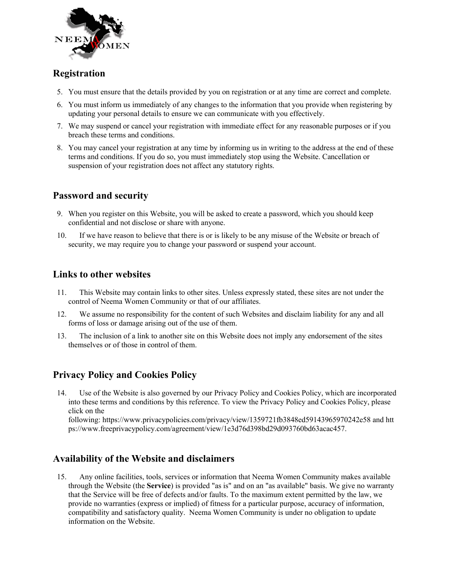

## **Registration**

- 5. You must ensure that the details provided by you on registration or at any time are correct and complete.
- 6. You must inform us immediately of any changes to the information that you provide when registering by updating your personal details to ensure we can communicate with you effectively.
- 7. We may suspend or cancel your registration with immediate effect for any reasonable purposes or if you breach these terms and conditions.
- 8. You may cancel your registration at any time by informing us in writing to the address at the end of these terms and conditions. If you do so, you must immediately stop using the Website. Cancellation or suspension of your registration does not affect any statutory rights.

# **Password and security**

- 9. When you register on this Website, you will be asked to create a password, which you should keep confidential and not disclose or share with anyone.
- 10. If we have reason to believe that there is or is likely to be any misuse of the Website or breach of security, we may require you to change your password or suspend your account.

#### **Links to other websites**

- 11. This Website may contain links to other sites. Unless expressly stated, these sites are not under the control of Neema Women Community or that of our affiliates.
- 12. We assume no responsibility for the content of such Websites and disclaim liability for any and all forms of loss or damage arising out of the use of them.
- 13. The inclusion of a link to another site on this Website does not imply any endorsement of the sites themselves or of those in control of them.

# **Privacy Policy and Cookies Policy**

14. Use of the Website is also governed by our Privacy Policy and Cookies Policy, which are incorporated into these terms and conditions by this reference. To view the Privacy Policy and Cookies Policy, please click on the

following: https://www.privacypolicies.com/privacy/view/1359721fb3848ed59143965970242e58 and htt ps://www.freeprivacypolicy.com/agreement/view/1e3d76d398bd29d093760bd63acac457.

#### **Availability of the Website and disclaimers**

15. Any online facilities, tools, services or information that Neema Women Community makes available through the Website (the **Service**) is provided "as is" and on an "as available" basis. We give no warranty that the Service will be free of defects and/or faults. To the maximum extent permitted by the law, we provide no warranties (express or implied) of fitness for a particular purpose, accuracy of information, compatibility and satisfactory quality. Neema Women Community is under no obligation to update information on the Website.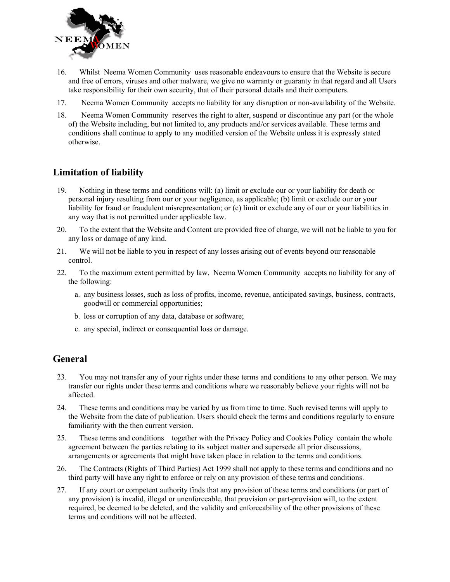

- 16. Whilst Neema Women Community uses reasonable endeavours to ensure that the Website is secure and free of errors, viruses and other malware, we give no warranty or guaranty in that regard and all Users take responsibility for their own security, that of their personal details and their computers.
- 17. Neema Women Community accepts no liability for any disruption or non-availability of the Website.
- 18. Neema Women Community reserves the right to alter, suspend or discontinue any part (or the whole of) the Website including, but not limited to, any products and/or services available. These terms and conditions shall continue to apply to any modified version of the Website unless it is expressly stated otherwise.

#### **Limitation of liability**

- 19. Nothing in these terms and conditions will: (a) limit or exclude our or your liability for death or personal injury resulting from our or your negligence, as applicable; (b) limit or exclude our or your liability for fraud or fraudulent misrepresentation; or (c) limit or exclude any of our or your liabilities in any way that is not permitted under applicable law.
- 20. To the extent that the Website and Content are provided free of charge, we will not be liable to you for any loss or damage of any kind.
- 21. We will not be liable to you in respect of any losses arising out of events beyond our reasonable control.
- 22. To the maximum extent permitted by law, Neema Women Community accepts no liability for any of the following:
	- a. any business losses, such as loss of profits, income, revenue, anticipated savings, business, contracts, goodwill or commercial opportunities;
	- b. loss or corruption of any data, database or software;
	- c. any special, indirect or consequential loss or damage.

# **General**

- 23. You may not transfer any of your rights under these terms and conditions to any other person. We may transfer our rights under these terms and conditions where we reasonably believe your rights will not be affected.
- 24. These terms and conditions may be varied by us from time to time. Such revised terms will apply to the Website from the date of publication. Users should check the terms and conditions regularly to ensure familiarity with the then current version.
- 25. These terms and conditions together with the Privacy Policy and Cookies Policy contain the whole agreement between the parties relating to its subject matter and supersede all prior discussions, arrangements or agreements that might have taken place in relation to the terms and conditions.
- 26. The Contracts (Rights of Third Parties) Act 1999 shall not apply to these terms and conditions and no third party will have any right to enforce or rely on any provision of these terms and conditions.
- 27. If any court or competent authority finds that any provision of these terms and conditions (or part of any provision) is invalid, illegal or unenforceable, that provision or part-provision will, to the extent required, be deemed to be deleted, and the validity and enforceability of the other provisions of these terms and conditions will not be affected.